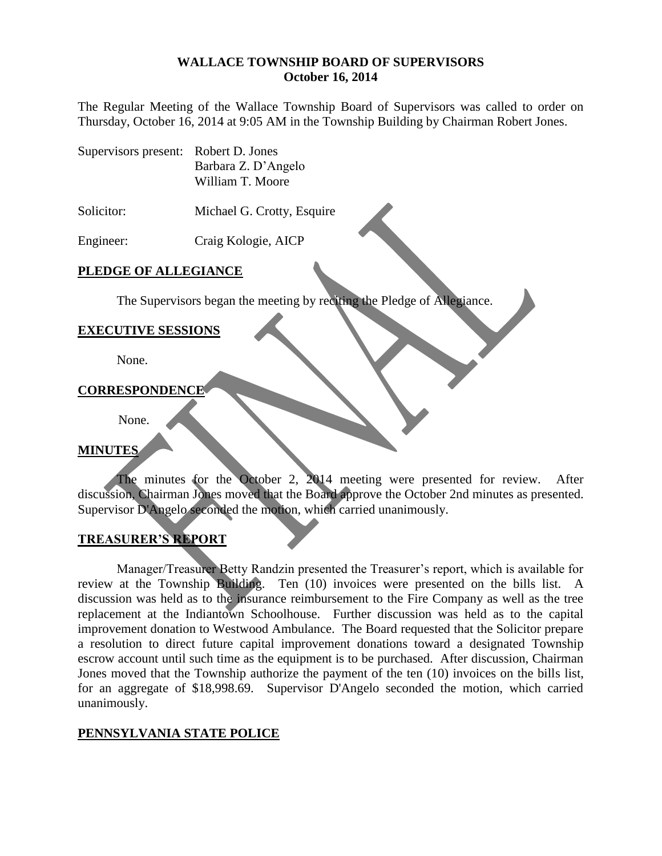#### **WALLACE TOWNSHIP BOARD OF SUPERVISORS October 16, 2014**

The Regular Meeting of the Wallace Township Board of Supervisors was called to order on Thursday, October 16, 2014 at 9:05 AM in the Township Building by Chairman Robert Jones.

Supervisors present: Robert D. Jones Barbara Z. D'Angelo William T. Moore

Solicitor: Michael G. Crotty, Esquire

Engineer: Craig Kologie, AICP

### **PLEDGE OF ALLEGIANCE**

The Supervisors began the meeting by reciting the Pledge of Allegiance.

### **EXECUTIVE SESSIONS**

None.

### **CORRESPONDENCE**

None.

### **MINUTES**

The minutes for the October 2, 2014 meeting were presented for review. After discussion, Chairman Jones moved that the Board approve the October 2nd minutes as presented. Supervisor D'Angelo seconded the motion, which carried unanimously.

### **TREASURER'S REPORT**

Manager/Treasurer Betty Randzin presented the Treasurer's report, which is available for review at the Township Building. Ten (10) invoices were presented on the bills list. A discussion was held as to the insurance reimbursement to the Fire Company as well as the tree replacement at the Indiantown Schoolhouse. Further discussion was held as to the capital improvement donation to Westwood Ambulance. The Board requested that the Solicitor prepare a resolution to direct future capital improvement donations toward a designated Township escrow account until such time as the equipment is to be purchased. After discussion, Chairman Jones moved that the Township authorize the payment of the ten (10) invoices on the bills list, for an aggregate of \$18,998.69. Supervisor D'Angelo seconded the motion, which carried unanimously.

### **PENNSYLVANIA STATE POLICE**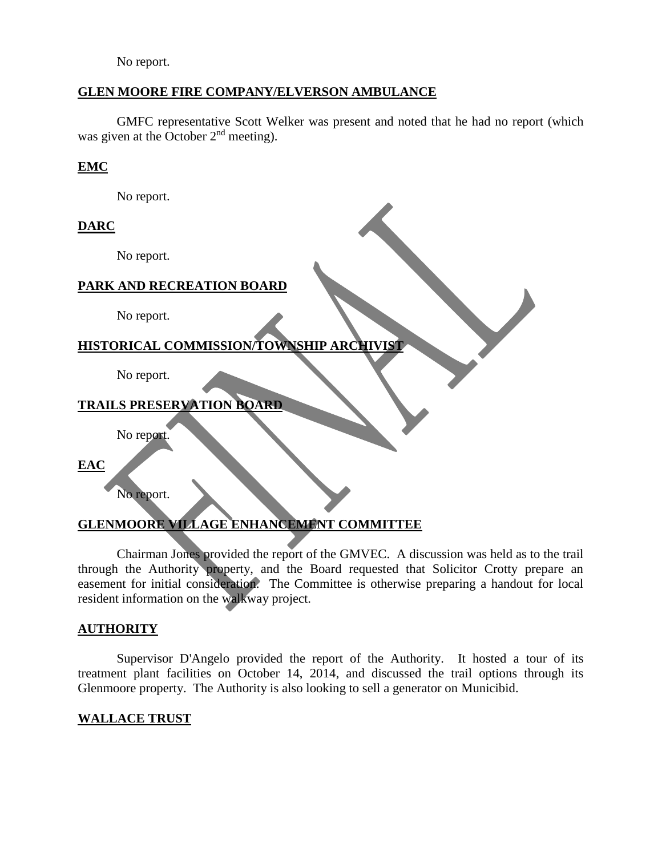No report.

### **GLEN MOORE FIRE COMPANY/ELVERSON AMBULANCE**

GMFC representative Scott Welker was present and noted that he had no report (which was given at the October 2<sup>nd</sup> meeting).

### **EMC**

No report.

## **DARC**

No report.

### **PARK AND RECREATION BOARD**

No report.

# **HISTORICAL COMMISSION/TOWNSHIP ARCHIVIST**

No report.

## **TRAILS PRESERVATION BOARD**

No report.

**EAC**

No report.

## **GLENMOORE VILLAGE ENHANCEMENT COMMITTEE**

Chairman Jones provided the report of the GMVEC. A discussion was held as to the trail through the Authority property, and the Board requested that Solicitor Crotty prepare an easement for initial consideration. The Committee is otherwise preparing a handout for local resident information on the walkway project.

### **AUTHORITY**

Supervisor D'Angelo provided the report of the Authority. It hosted a tour of its treatment plant facilities on October 14, 2014, and discussed the trail options through its Glenmoore property. The Authority is also looking to sell a generator on Municibid.

### **WALLACE TRUST**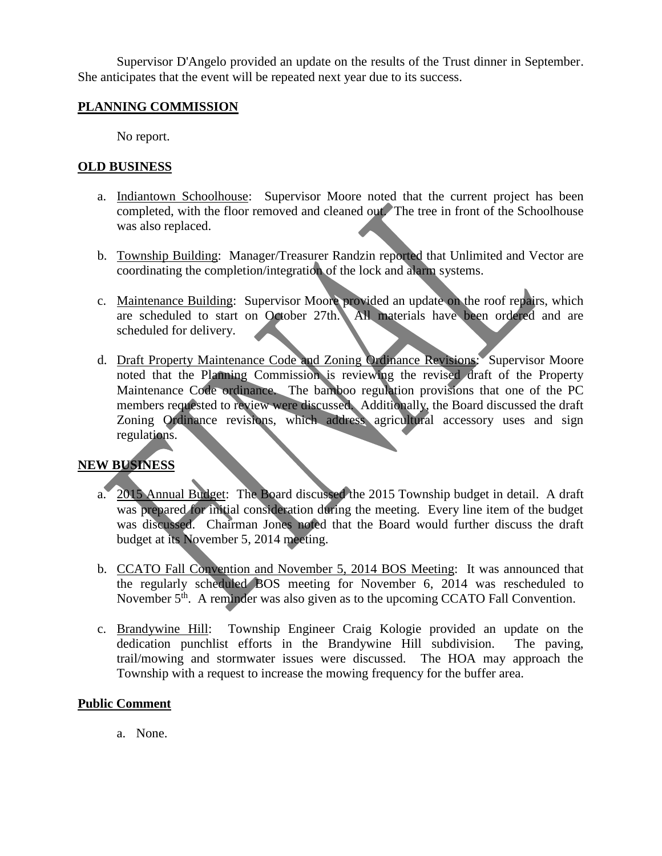Supervisor D'Angelo provided an update on the results of the Trust dinner in September. She anticipates that the event will be repeated next year due to its success.

### **PLANNING COMMISSION**

No report.

### **OLD BUSINESS**

- a. Indiantown Schoolhouse: Supervisor Moore noted that the current project has been completed, with the floor removed and cleaned out. The tree in front of the Schoolhouse was also replaced.
- b. Township Building: Manager/Treasurer Randzin reported that Unlimited and Vector are coordinating the completion/integration of the lock and alarm systems.
- c. Maintenance Building: Supervisor Moore provided an update on the roof repairs, which are scheduled to start on October 27th. All materials have been ordered and are scheduled for delivery.
- d. Draft Property Maintenance Code and Zoning Ordinance Revisions: Supervisor Moore noted that the Planning Commission is reviewing the revised draft of the Property Maintenance Code ordinance. The bamboo regulation provisions that one of the PC members requested to review were discussed. Additionally, the Board discussed the draft Zoning Ordinance revisions, which address agricultural accessory uses and sign regulations.

## **NEW BUSINESS**

- a. 2015 Annual Budget: The Board discussed the 2015 Township budget in detail. A draft was prepared for initial consideration during the meeting. Every line item of the budget was discussed. Chairman Jones noted that the Board would further discuss the draft budget at its November 5, 2014 meeting.
- b. CCATO Fall Convention and November 5, 2014 BOS Meeting: It was announced that the regularly scheduled BOS meeting for November 6, 2014 was rescheduled to November 5<sup>th</sup>. A reminder was also given as to the upcoming CCATO Fall Convention.
- c. Brandywine Hill: Township Engineer Craig Kologie provided an update on the dedication punchlist efforts in the Brandywine Hill subdivision. The paving, trail/mowing and stormwater issues were discussed. The HOA may approach the Township with a request to increase the mowing frequency for the buffer area.

### **Public Comment**

a. None.